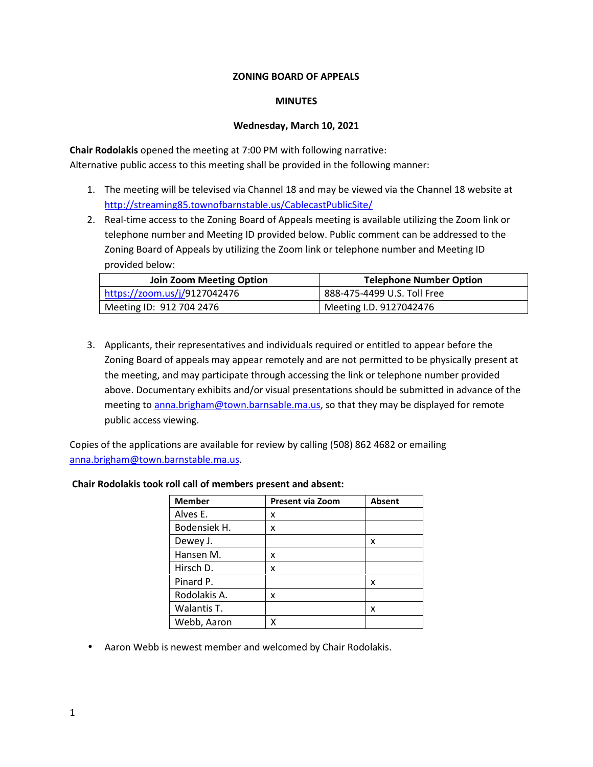# **ZONING BOARD OF APPEALS**

### **MINUTES**

# **Wednesday, March 10, 2021**

**Chair Rodolakis** opened the meeting at 7:00 PM with following narrative: Alternative public access to this meeting shall be provided in the following manner:

- 1. The meeting will be televised via Channel 18 and may be viewed via the Channel 18 website at http://streaming85.townofbarnstable.us/CablecastPublicSite/
- 2. Real-time access to the Zoning Board of Appeals meeting is available utilizing the Zoom link or telephone number and Meeting ID provided below. Public comment can be addressed to the Zoning Board of Appeals by utilizing the Zoom link or telephone number and Meeting ID provided below:

| <b>Join Zoom Meeting Option</b> | <b>Telephone Number Option</b> |
|---------------------------------|--------------------------------|
| https://zoom.us/j/9127042476    | 888-475-4499 U.S. Toll Free    |
| Meeting ID: 912 704 2476        | Meeting I.D. 9127042476        |

3. Applicants, their representatives and individuals required or entitled to appear before the Zoning Board of appeals may appear remotely and are not permitted to be physically present at the meeting, and may participate through accessing the link or telephone number provided above. Documentary exhibits and/or visual presentations should be submitted in advance of the meeting to anna.brigham@town.barnsable.ma.us, so that they may be displayed for remote public access viewing.

Copies of the applications are available for review by calling (508) 862 4682 or emailing anna.brigham@town.barnstable.ma.us.

| <b>Member</b> | <b>Present via Zoom</b> | <b>Absent</b> |
|---------------|-------------------------|---------------|
| Alves E.      | x                       |               |
| Bodensiek H.  | x                       |               |
| Dewey J.      |                         | x             |
| Hansen M.     | x                       |               |
| Hirsch D.     | x                       |               |
| Pinard P.     |                         | x             |
| Rodolakis A.  | x                       |               |
| Walantis T.   |                         | x             |
| Webb, Aaron   |                         |               |

# **Chair Rodolakis took roll call of members present and absent:**

Aaron Webb is newest member and welcomed by Chair Rodolakis.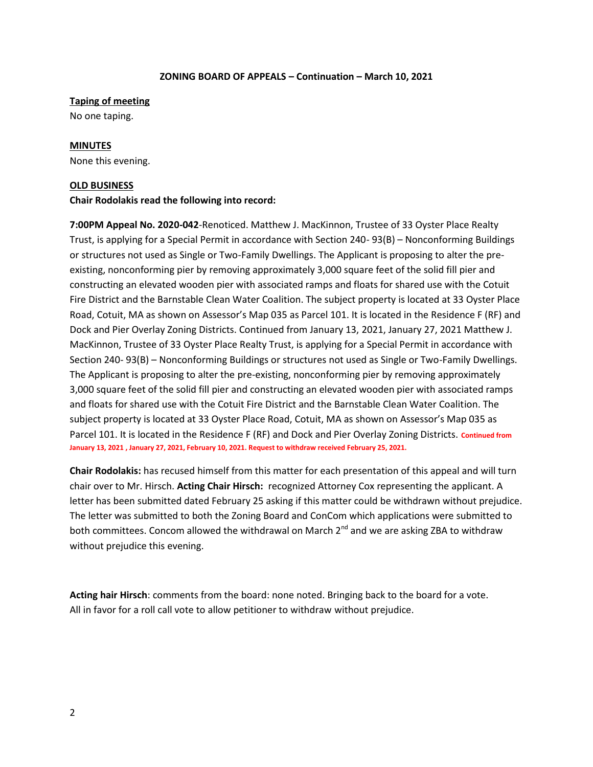#### **Taping of meeting**

No one taping.

#### **MINUTES**

None this evening.

### **OLD BUSINESS**

#### **Chair Rodolakis read the following into record:**

**7:00PM Appeal No. 2020-042**-Renoticed. Matthew J. MacKinnon, Trustee of 33 Oyster Place Realty Trust, is applying for a Special Permit in accordance with Section 240- 93(B) – Nonconforming Buildings or structures not used as Single or Two-Family Dwellings. The Applicant is proposing to alter the pre existing, nonconforming pier by removing approximately 3,000 square feet of the solid fill pier and constructing an elevated wooden pier with associated ramps and floats for shared use with the Cotuit Fire District and the Barnstable Clean Water Coalition. The subject property is located at 33 Oyster Place Road, Cotuit, MA as shown on Assessor's Map 035 as Parcel 101. It is located in the Residence F (RF) and Dock and Pier Overlay Zoning Districts. Continued from January 13, 2021, January 27, 2021 Matthew J. MacKinnon, Trustee of 33 Oyster Place Realty Trust, is applying for a Special Permit in accordance with Section 240- 93(B) – Nonconforming Buildings or structures not used as Single or Two-Family Dwellings. The Applicant is proposing to alter the pre-existing, nonconforming pier by removing approximately 3,000 square feet of the solid fill pier and constructing an elevated wooden pier with associated ramps and floats for shared use with the Cotuit Fire District and the Barnstable Clean Water Coalition. The subject property is located at 33 Oyster Place Road, Cotuit, MA as shown on Assessor's Map 035 as Parcel 101. It is located in the Residence F (RF) and Dock and Pier Overlay Zoning Districts. **Continued from January 13, 2021 , January 27, 2021, February 10, 2021. Request to withdraw received February 25, 2021.**

**Chair Rodolakis:** has recused himself from this matter for each presentation of this appeal and will turn chair over to Mr. Hirsch. **Acting Chair Hirsch:** recognized Attorney Cox representing the applicant. A letter has been submitted dated February 25 asking if this matter could be withdrawn without prejudice. The letter was submitted to both the Zoning Board and ConCom which applications were submitted to both committees. Concom allowed the withdrawal on March  $2^{nd}$  and we are asking ZBA to withdraw without prejudice this evening.

**Acting hair Hirsch**: comments from the board: none noted. Bringing back to the board for a vote. All in favor for a roll call vote to allow petitioner to withdraw without prejudice.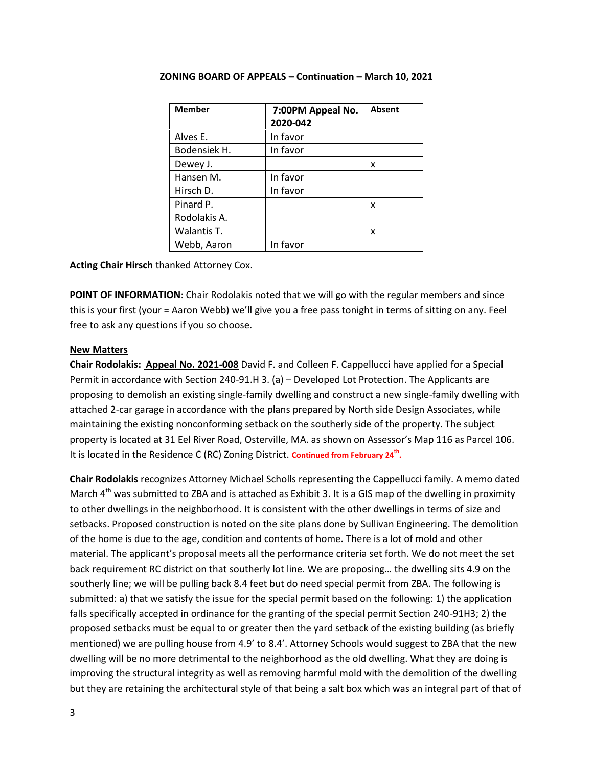| <b>Member</b> | 7:00PM Appeal No.<br>2020-042 | <b>Absent</b> |
|---------------|-------------------------------|---------------|
| Alves E.      | In favor                      |               |
| Bodensiek H.  | In favor                      |               |
| Dewey J.      |                               | x             |
| Hansen M.     | In favor                      |               |
| Hirsch D.     | In favor                      |               |
| Pinard P.     |                               | x             |
| Rodolakis A.  |                               |               |
| Walantis T.   |                               | x             |
| Webb, Aaron   | In favor                      |               |

**Acting Chair Hirsch** thanked Attorney Cox.

**POINT OF INFORMATION:** Chair Rodolakis noted that we will go with the regular members and since this is your first (your = Aaron Webb) we'll give you a free pass tonight in terms of sitting on any. Feel free to ask any questions if you so choose.

# **New Matters**

**Chair Rodolakis: Appeal No. 2021-008** David F. and Colleen F. Cappellucci have applied for a Special Permit in accordance with Section 240-91.H 3. (a) – Developed Lot Protection. The Applicants are proposing to demolish an existing single-family dwelling and construct a new single-family dwelling with attached 2-car garage in accordance with the plans prepared by North side Design Associates, while maintaining the existing nonconforming setback on the southerly side of the property. The subject property is located at 31 Eel River Road, Osterville, MA. as shown on Assessor's Map 116 as Parcel 106. It is located in the Residence C (RC) Zoning District. Continued from February 24<sup>th</sup>.

**Chair Rodolakis** recognizes Attorney Michael Scholls representing the Cappellucci family. A memo dated March  $4<sup>th</sup>$  was submitted to ZBA and is attached as Exhibit 3. It is a GIS map of the dwelling in proximity to other dwellings in the neighborhood. It is consistent with the other dwellings in terms of size and setbacks. Proposed construction is noted on the site plans done by Sullivan Engineering. The demolition of the home is due to the age, condition and contents of home. There is a lot of mold and other material. The applicant's proposal meets all the performance criteria set forth. We do not meet the set back requirement RC district on that southerly lot line. We are proposing… the dwelling sits 4.9 on the southerly line; we will be pulling back 8.4 feet but do need special permit from ZBA. The following is submitted: a) that we satisfy the issue for the special permit based on the following: 1) the application falls specifically accepted in ordinance for the granting of the special permit Section 240-91H3; 2) the proposed setbacks must be equal to or greater then the yard setback of the existing building (as briefly mentioned) we are pulling house from 4.9' to 8.4'. Attorney Schools would suggest to ZBA that the new dwelling will be no more detrimental to the neighborhood as the old dwelling. What they are doing is improving the structural integrity as well as removing harmful mold with the demolition of the dwelling but they are retaining the architectural style of that being a salt box which was an integral part of that of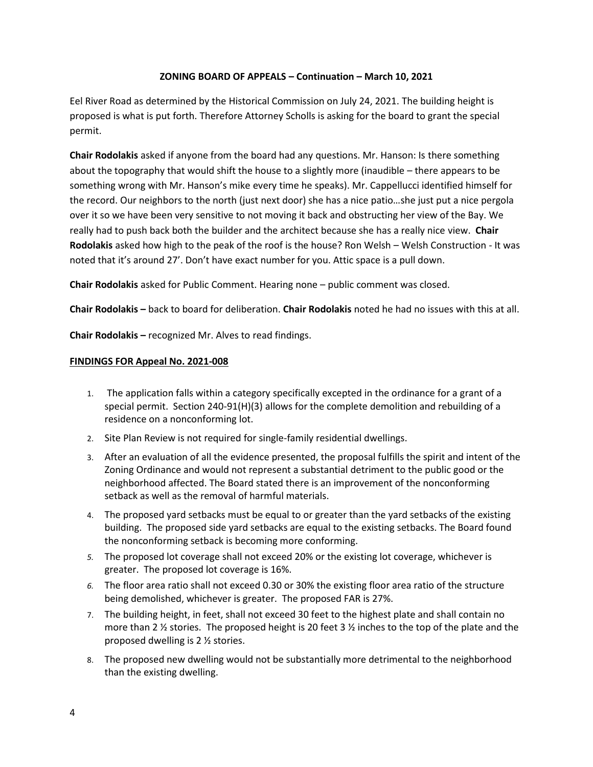Eel River Road as determined by the Historical Commission on July 24, 2021. The building height is proposed is what is put forth. Therefore Attorney Scholls is asking for the board to grant the special permit.

**Chair Rodolakis** asked if anyone from the board had any questions. Mr. Hanson: Is there something about the topography that would shift the house to a slightly more (inaudible – there appears to be something wrong with Mr. Hanson's mike every time he speaks). Mr. Cappellucci identified himself for the record. Our neighbors to the north (just next door) she has a nice patio…she just put a nice pergola over it so we have been very sensitive to not moving it back and obstructing her view of the Bay. We really had to push back both the builder and the architect because she has a really nice view. **Chair Rodolakis** asked how high to the peak of the roof is the house? Ron Welsh – Welsh Construction - It was noted that it's around 27'. Don't have exact number for you. Attic space is a pull down.

**Chair Rodolakis** asked for Public Comment. Hearing none – public comment was closed.

**Chair Rodolakis –** back to board for deliberation. **Chair Rodolakis** noted he had no issues with this at all.

**Chair Rodolakis –** recognized Mr. Alves to read findings.

# **FINDINGS FOR Appeal No. 2021-008**

- 1. The application falls within a category specifically excepted in the ordinance for a grant of a special permit. Section 240-91(H)(3) allows for the complete demolition and rebuilding of a residence on a nonconforming lot.
- 2. Site Plan Review is not required for single-family residential dwellings.
- 3. After an evaluation of all the evidence presented, the proposal fulfills the spirit and intent of the Zoning Ordinance and would not represent a substantial detriment to the public good or the neighborhood affected. The Board stated there is an improvement of the nonconforming setback as well as the removal of harmful materials.
- 4. The proposed yard setbacks must be equal to or greater than the yard setbacks of the existing building. The proposed side yard setbacks are equal to the existing setbacks. The Board found the nonconforming setback is becoming more conforming.
- *5.* The proposed lot coverage shall not exceed 20% or the existing lot coverage, whichever is greater. The proposed lot coverage is 16%.
- *6.* The floor area ratio shall not exceed 0.30 or 30% the existing floor area ratio of the structure being demolished, whichever is greater. The proposed FAR is 27%.
- 7. The building height, in feet, shall not exceed 30 feet to the highest plate and shall contain no more than 2  $\frac{1}{2}$  stories. The proposed height is 20 feet 3  $\frac{1}{2}$  inches to the top of the plate and the proposed dwelling is 2 ½ stories.
- 8. The proposed new dwelling would not be substantially more detrimental to the neighborhood than the existing dwelling.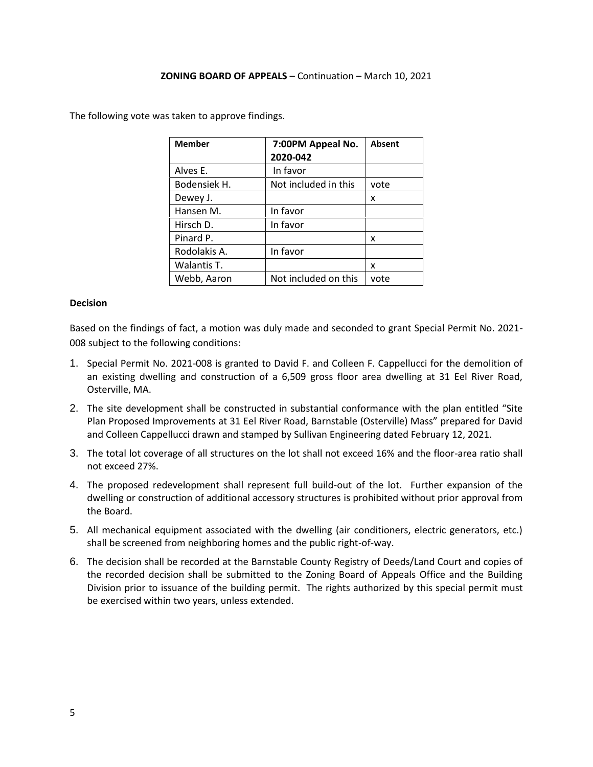The following vote was taken to approve findings.

| <b>Member</b> | 7:00PM Appeal No.<br>2020-042 | Absent |
|---------------|-------------------------------|--------|
| Alves E.      | In favor                      |        |
| Bodensiek H.  | Not included in this          | vote   |
| Dewey J.      |                               | x      |
| Hansen M.     | In favor                      |        |
| Hirsch D.     | In favor                      |        |
| Pinard P.     |                               | x      |
| Rodolakis A.  | In favor                      |        |
| Walantis T.   |                               | x      |
| Webb, Aaron   | Not included on this          | vote   |

# **Decision**

Based on the findings of fact, a motion was duly made and seconded to grant Special Permit No. 2021- 008 subject to the following conditions:

- 1. Special Permit No. 2021-008 is granted to David F. and Colleen F. Cappellucci for the demolition of an existing dwelling and construction of a 6,509 gross floor area dwelling at 31 Eel River Road, Osterville, MA.
- 2. The site development shall be constructed in substantial conformance with the plan entitled "Site Plan Proposed Improvements at 31 Eel River Road, Barnstable (Osterville) Mass" prepared for David and Colleen Cappellucci drawn and stamped by Sullivan Engineering dated February 12, 2021.
- 3. The total lot coverage of all structures on the lot shall not exceed 16% and the floor-area ratio shall not exceed 27%.
- 4. The proposed redevelopment shall represent full build-out of the lot. Further expansion of the dwelling or construction of additional accessory structures is prohibited without prior approval from the Board.
- 5. All mechanical equipment associated with the dwelling (air conditioners, electric generators, etc.) shall be screened from neighboring homes and the public right-of-way.
- 6. The decision shall be recorded at the Barnstable County Registry of Deeds/Land Court and copies of the recorded decision shall be submitted to the Zoning Board of Appeals Office and the Building Division prior to issuance of the building permit. The rights authorized by this special permit must be exercised within two years, unless extended.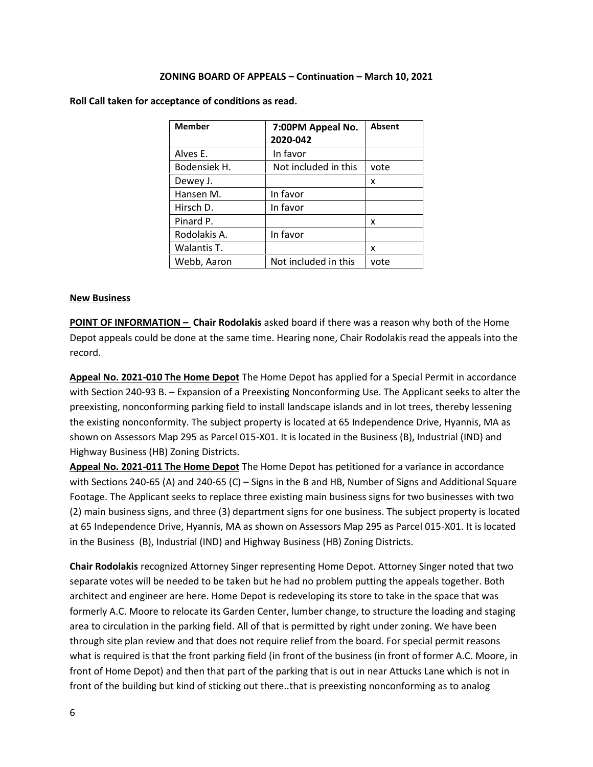| <b>Member</b> | 7:00PM Appeal No.    | Absent |
|---------------|----------------------|--------|
|               | 2020-042             |        |
| Alves E.      | In favor             |        |
| Bodensiek H.  | Not included in this | vote   |
| Dewey J.      |                      | x      |
| Hansen M.     | In favor             |        |
| Hirsch D.     | In favor             |        |
| Pinard P.     |                      | x      |
| Rodolakis A.  | In favor             |        |
| Walantis T.   |                      | x      |
| Webb, Aaron   | Not included in this | vote   |

**Roll Call taken for acceptance of conditions as read.**

### **New Business**

**POINT OF INFORMATION – Chair Rodolakis** asked board if there was a reason why both of the Home Depot appeals could be done at the same time. Hearing none, Chair Rodolakis read the appeals into the record.

**Appeal No. 2021-010 The Home Depot** The Home Depot has applied for a Special Permit in accordance with Section 240-93 B. – Expansion of a Preexisting Nonconforming Use. The Applicant seeks to alter the preexisting, nonconforming parking field to install landscape islands and in lot trees, thereby lessening the existing nonconformity. The subject property is located at 65 Independence Drive, Hyannis, MA as shown on Assessors Map 295 as Parcel 015-X01. It is located in the Business (B), Industrial (IND) and Highway Business (HB) Zoning Districts.

**Appeal No. 2021-011 The Home Depot** The Home Depot has petitioned for a variance in accordance with Sections 240-65 (A) and 240-65 (C) – Signs in the B and HB, Number of Signs and Additional Square Footage. The Applicant seeks to replace three existing main business signs for two businesses with two (2) main business signs, and three (3) department signs for one business. The subject property is located at 65 Independence Drive, Hyannis, MA as shown on Assessors Map 295 as Parcel 015-X01. It is located in the Business (B), Industrial (IND) and Highway Business (HB) Zoning Districts.

**Chair Rodolakis** recognized Attorney Singer representing Home Depot. Attorney Singer noted that two separate votes will be needed to be taken but he had no problem putting the appeals together. Both architect and engineer are here. Home Depot is redeveloping its store to take in the space that was formerly A.C. Moore to relocate its Garden Center, lumber change, to structure the loading and staging area to circulation in the parking field. All of that is permitted by right under zoning. We have been through site plan review and that does not require relief from the board. For special permit reasons what is required is that the front parking field (in front of the business (in front of former A.C. Moore, in front of Home Depot) and then that part of the parking that is out in near Attucks Lane which is not in front of the building but kind of sticking out there..that is preexisting nonconforming as to analog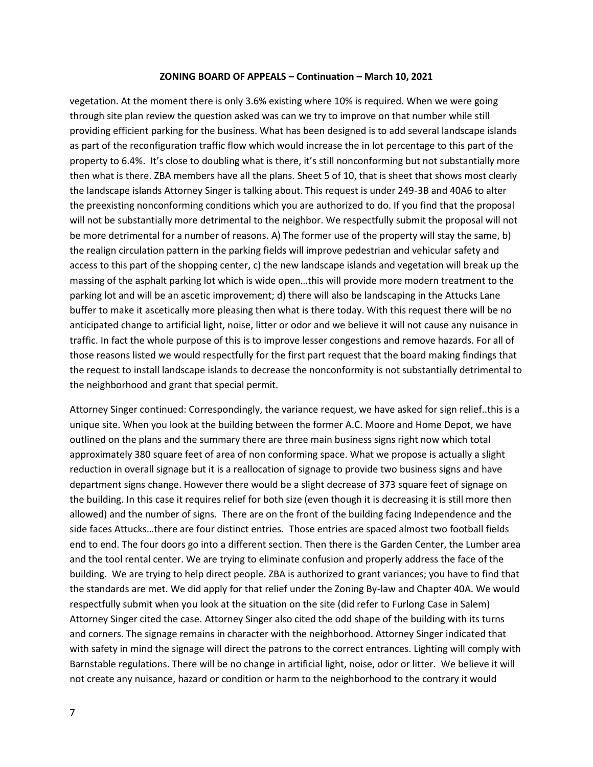vegetation. At the moment there is only 3.6% existing where 10% is required. When we were going through site plan review the question asked was can we try to improve on that number while still providing efficient parking for the business. What has been designed is to add several landscape islands as part of the reconfiguration traffic flow which would increase the in lot percentage to this part of the property to 6.4%. It's close to doubling what is there, it's still nonconforming but not substantially more then what is there. ZBA members have all the plans. Sheet 5 of 10, that is sheet that shows most clearly the landscape islands Attorney Singer is talking about. This request is under 249-3B and 40A6 to alter the preexisting nonconforming conditions which you are authorized to do. If you find that the proposal will not be substantially more detrimental to the neighbor. We respectfully submit the proposal will not be more detrimental for a number of reasons. A) The former use of the property will stay the same, b) the realign circulation pattern in the parking fields will improve pedestrian and vehicular safety and access to this part of the shopping center, c) the new landscape islands and vegetation will break up the massing of the asphalt parking lot which is wide open…this will provide more modern treatment to the parking lot and will be an ascetic improvement; d) there will also be landscaping in the Attucks Lane buffer to make it ascetically more pleasing then what is there today. With this request there will be no anticipated change to artificial light, noise, litter or odor and we believe it will not cause any nuisance in traffic. In fact the whole purpose of this is to improve lesser congestions and remove hazards. For all of those reasons listed we would respectfully for the first part request that the board making findings that the request to install landscape islands to decrease the nonconformity is not substantially detrimental to the neighborhood and grant that special permit.

Attorney Singer continued: Correspondingly, the variance request, we have asked for sign relief..this is a unique site. When you look at the building between the former A.C. Moore and Home Depot, we have outlined on the plans and the summary there are three main business signs right now which total approximately 380 square feet of area of non conforming space. What we propose is actually a slight reduction in overall signage but it is a reallocation of signage to provide two business signs and have department signs change. However there would be a slight decrease of 373 square feet of signage on the building. In this case it requires relief for both size (even though it is decreasing it is still more then allowed) and the number of signs. There are on the front of the building facing Independence and the side faces Attucks…there are four distinct entries. Those entries are spaced almost two football fields end to end. The four doors go into a different section. Then there is the Garden Center, the Lumber area and the tool rental center. We are trying to eliminate confusion and properly address the face of the building. We are trying to help direct people. ZBA is authorized to grant variances; you have to find that the standards are met. We did apply for that relief under the Zoning By-law and Chapter 40A. We would respectfully submit when you look at the situation on the site (did refer to Furlong Case in Salem) Attorney Singer cited the case. Attorney Singer also cited the odd shape of the building with its turns and corners. The signage remains in character with the neighborhood. Attorney Singer indicated that with safety in mind the signage will direct the patrons to the correct entrances. Lighting will comply with Barnstable regulations. There will be no change in artificial light, noise, odor or litter. We believe it will not create any nuisance, hazard or condition or harm to the neighborhood to the contrary it would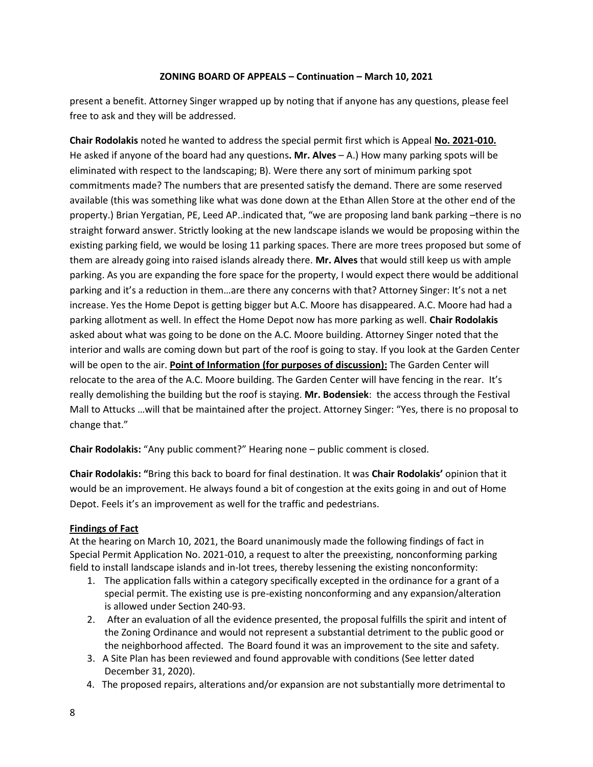present a benefit. Attorney Singer wrapped up by noting that if anyone has any questions, please feel free to ask and they will be addressed.

**Chair Rodolakis** noted he wanted to address the special permit first which is Appeal **No. 2021-010.** He asked if anyone of the board had any questions**. Mr. Alves** – A.) How many parking spots will be eliminated with respect to the landscaping; B). Were there any sort of minimum parking spot commitments made? The numbers that are presented satisfy the demand. There are some reserved available (this was something like what was done down at the Ethan Allen Store at the other end of the property.) Brian Yergatian, PE, Leed AP..indicated that, "we are proposing land bank parking –there is no straight forward answer. Strictly looking at the new landscape islands we would be proposing within the existing parking field, we would be losing 11 parking spaces. There are more trees proposed but some of them are already going into raised islands already there. **Mr. Alves** that would still keep us with ample parking. As you are expanding the fore space for the property, I would expect there would be additional parking and it's a reduction in them…are there any concerns with that? Attorney Singer: It's not a net increase. Yes the Home Depot is getting bigger but A.C. Moore has disappeared. A.C. Moore had had a parking allotment as well. In effect the Home Depot now has more parking as well. **Chair Rodolakis** asked about what was going to be done on the A.C. Moore building. Attorney Singer noted that the interior and walls are coming down but part of the roof is going to stay. If you look at the Garden Center will be open to the air. **Point of Information (for purposes of discussion):** The Garden Center will relocate to the area of the A.C. Moore building. The Garden Center will have fencing in the rear. It's really demolishing the building but the roof is staying. **Mr. Bodensiek**: the access through the Festival Mall to Attucks …will that be maintained after the project. Attorney Singer: "Yes, there is no proposal to change that."

**Chair Rodolakis:** "Any public comment?" Hearing none – public comment is closed.

**Chair Rodolakis: "**Bring this back to board for final destination. It was **Chair Rodolakis'** opinion that it would be an improvement. He always found a bit of congestion at the exits going in and out of Home Depot. Feels it's an improvement as well for the traffic and pedestrians.

# **Findings of Fact**

At the hearing on March 10, 2021, the Board unanimously made the following findings of fact in Special Permit Application No. 2021-010, a request to alter the preexisting, nonconforming parking field to install landscape islands and in-lot trees, thereby lessening the existing nonconformity:

- 1. The application falls within a category specifically excepted in the ordinance for a grant of a special permit. The existing use is pre-existing nonconforming and any expansion/alteration is allowed under Section 240-93.
- 2. After an evaluation of all the evidence presented, the proposal fulfills the spirit and intent of the Zoning Ordinance and would not represent a substantial detriment to the public good or the neighborhood affected. The Board found it was an improvement to the site and safety.
- 3. A Site Plan has been reviewed and found approvable with conditions (See letter dated December 31, 2020).
- 4. The proposed repairs, alterations and/or expansion are not substantially more detrimental to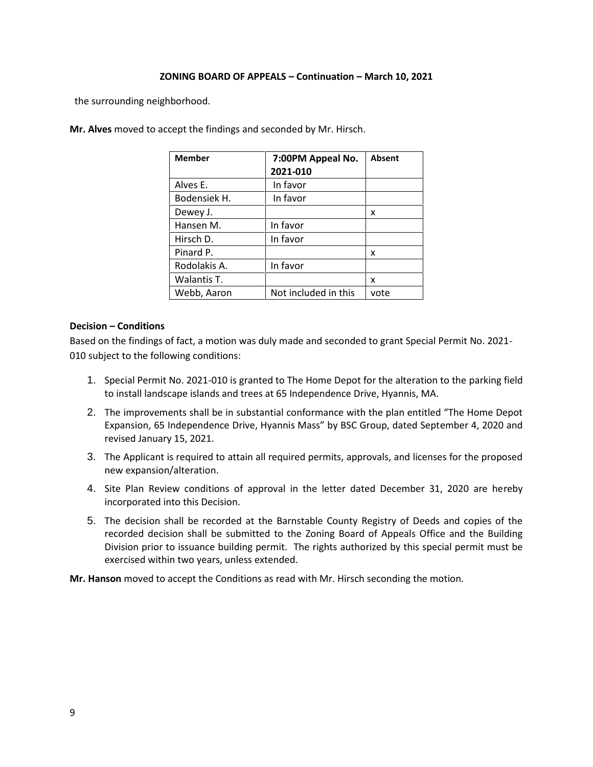the surrounding neighborhood.

| <b>Member</b> | 7:00PM Appeal No.<br>2021-010 | <b>Absent</b> |
|---------------|-------------------------------|---------------|
| Alves E.      | In favor                      |               |
| Bodensiek H.  | In favor                      |               |
| Dewey J.      |                               | x             |
| Hansen M.     | In favor                      |               |
| Hirsch D.     | In favor                      |               |
| Pinard P.     |                               | x             |
| Rodolakis A.  | In favor                      |               |
| Walantis T.   |                               | x             |
| Webb, Aaron   | Not included in this          | vote          |

**Mr. Alves** moved to accept the findings and seconded by Mr. Hirsch.

### **Decision – Conditions**

Based on the findings of fact, a motion was duly made and seconded to grant Special Permit No. 2021- 010 subject to the following conditions:

- 1. Special Permit No. 2021-010 is granted to The Home Depot for the alteration to the parking field to install landscape islands and trees at 65 Independence Drive, Hyannis, MA.
- 2. The improvements shall be in substantial conformance with the plan entitled "The Home Depot Expansion, 65 Independence Drive, Hyannis Mass" by BSC Group, dated September 4, 2020 and revised January 15, 2021.
- 3. The Applicant is required to attain all required permits, approvals, and licenses for the proposed new expansion/alteration.
- 4. Site Plan Review conditions of approval in the letter dated December 31, 2020 are hereby incorporated into this Decision.
- 5. The decision shall be recorded at the Barnstable County Registry of Deeds and copies of the recorded decision shall be submitted to the Zoning Board of Appeals Office and the Building Division prior to issuance building permit. The rights authorized by this special permit must be exercised within two years, unless extended.

**Mr. Hanson** moved to accept the Conditions as read with Mr. Hirsch seconding the motion.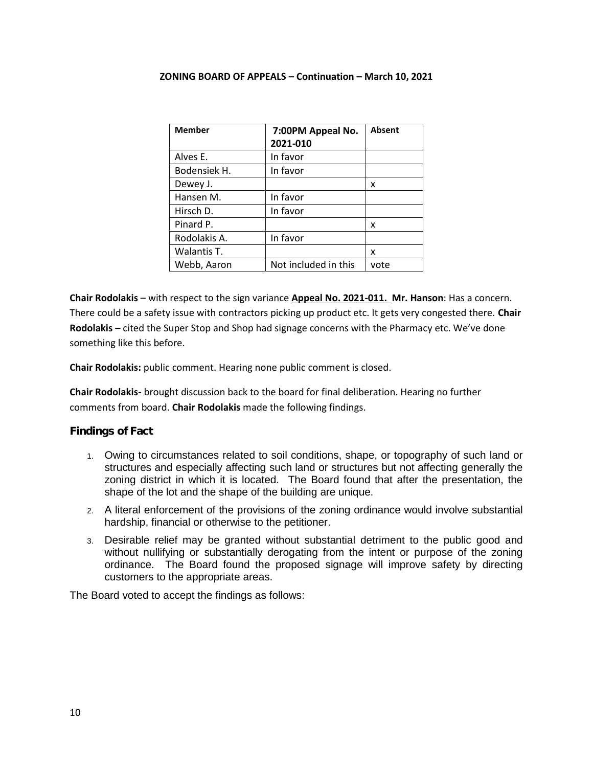| <b>Member</b> | 7:00PM Appeal No.<br>2021-010 | Absent |
|---------------|-------------------------------|--------|
| Alves E.      | In favor                      |        |
| Bodensiek H.  | In favor                      |        |
| Dewey J.      |                               | x      |
| Hansen M.     | In favor                      |        |
| Hirsch D.     | In favor                      |        |
| Pinard P.     |                               | x      |
| Rodolakis A.  | In favor                      |        |
| Walantis T.   |                               | x      |
| Webb, Aaron   | Not included in this          | vote   |

**Chair Rodolakis** – with respect to the sign variance **Appeal No. 2021-011. Mr. Hanson**: Has a concern. There could be a safety issue with contractors picking up product etc. It gets very congested there. **Chair Rodolakis –** cited the Super Stop and Shop had signage concerns with the Pharmacy etc. We've done something like this before.

**Chair Rodolakis:** public comment. Hearing none public comment is closed.

**Chair Rodolakis-** brought discussion back to the board for final deliberation. Hearing no further comments from board. **Chair Rodolakis** made the following findings.

# **Findings of Fact**

- 1. Owing to circumstances related to soil conditions, shape, or topography of such land or structures and especially affecting such land or structures but not affecting generally the zoning district in which it is located. The Board found that after the presentation, the shape of the lot and the shape of the building are unique.
- 2. A literal enforcement of the provisions of the zoning ordinance would involve substantial hardship, financial or otherwise to the petitioner.
- 3. Desirable relief may be granted without substantial detriment to the public good and without nullifying or substantially derogating from the intent or purpose of the zoning ordinance. The Board found the proposed signage will improve safety by directing customers to the appropriate areas.

The Board voted to accept the findings as follows: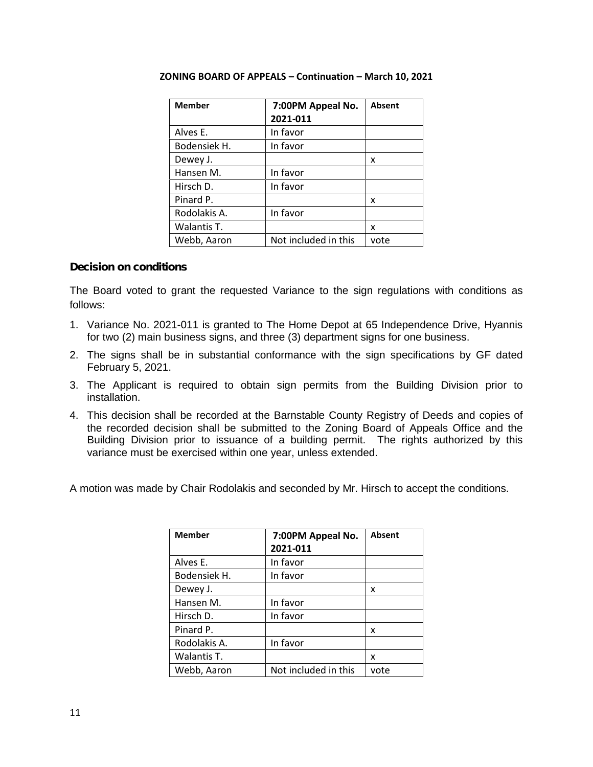| <b>Member</b> | 7:00PM Appeal No.<br>2021-011 | <b>Absent</b> |
|---------------|-------------------------------|---------------|
| Alves E.      | In favor                      |               |
| Bodensiek H.  | In favor                      |               |
| Dewey J.      |                               | x             |
| Hansen M.     | In favor                      |               |
| Hirsch D.     | In favor                      |               |
| Pinard P.     |                               | x             |
| Rodolakis A.  | In favor                      |               |
| Walantis T.   |                               | x             |
| Webb, Aaron   | Not included in this          | vote          |

# **Decision on conditions**

The Board voted to grant the requested Variance to the sign regulations with conditions as follows:

- 1. Variance No. 2021-011 is granted to The Home Depot at 65 Independence Drive, Hyannis for two (2) main business signs, and three (3) department signs for one business.
- 2. The signs shall be in substantial conformance with the sign specifications by GF dated February 5, 2021.
- 3. The Applicant is required to obtain sign permits from the Building Division prior to installation.
- 4. This decision shall be recorded at the Barnstable County Registry of Deeds and copies of the recorded decision shall be submitted to the Zoning Board of Appeals Office and the Building Division prior to issuance of a building permit. The rights authorized by this variance must be exercised within one year, unless extended.

A motion was made by Chair Rodolakis and seconded by Mr. Hirsch to accept the conditions.

| <b>Member</b> | 7:00PM Appeal No.<br>2021-011 | <b>Absent</b> |
|---------------|-------------------------------|---------------|
| Alves E.      | In favor                      |               |
| Bodensiek H.  | In favor                      |               |
| Dewey J.      |                               | x             |
| Hansen M.     | In favor                      |               |
| Hirsch D.     | In favor                      |               |
| Pinard P.     |                               | x             |
| Rodolakis A.  | In favor                      |               |
| Walantis T.   |                               | x             |
| Webb, Aaron   | Not included in this          | vote          |